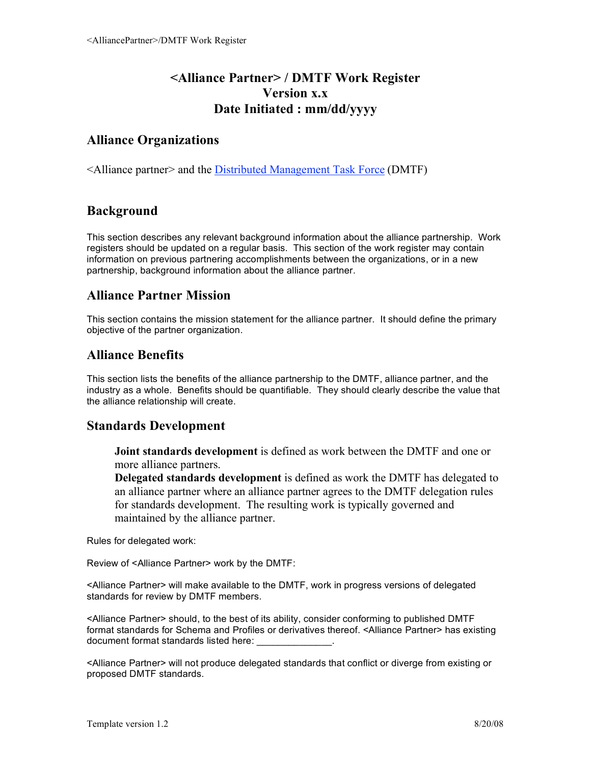# **<Alliance Partner> / DMTF Work Register Version x.x Date Initiated : mm/dd/yyyy**

## **Alliance Organizations**

<Alliance partner> and the Distributed Management Task Force (DMTF)

# **Background**

This section describes any relevant background information about the alliance partnership. Work registers should be updated on a regular basis. This section of the work register may contain information on previous partnering accomplishments between the organizations, or in a new partnership, background information about the alliance partner.

## **Alliance Partner Mission**

This section contains the mission statement for the alliance partner. It should define the primary objective of the partner organization.

## **Alliance Benefits**

This section lists the benefits of the alliance partnership to the DMTF, alliance partner, and the industry as a whole. Benefits should be quantifiable. They should clearly describe the value that the alliance relationship will create.

#### **Standards Development**

**Joint standards development** is defined as work between the DMTF and one or more alliance partners.

**Delegated standards development** is defined as work the DMTF has delegated to an alliance partner where an alliance partner agrees to the DMTF delegation rules for standards development. The resulting work is typically governed and maintained by the alliance partner.

Rules for delegated work:

Review of <Alliance Partner> work by the DMTF:

<Alliance Partner> will make available to the DMTF, work in progress versions of delegated standards for review by DMTF members.

<Alliance Partner> should, to the best of its ability, consider conforming to published DMTF format standards for Schema and Profiles or derivatives thereof. <Alliance Partner> has existing document format standards listed here:

<Alliance Partner> will not produce delegated standards that conflict or diverge from existing or proposed DMTF standards.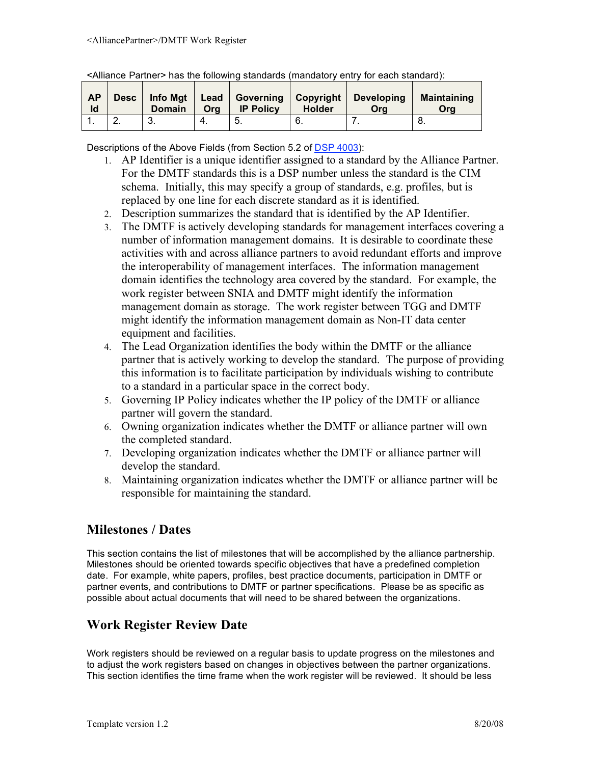| <b>AP</b><br>Id | Desc   Info Mgt   Lead<br><b>Domain</b> | Ora | <b>IP Policy</b> | <b>Holder</b> | Governing   Copyright   Developing<br>Ora | <b>Maintaining</b><br>Ora |
|-----------------|-----------------------------------------|-----|------------------|---------------|-------------------------------------------|---------------------------|
|                 | ູບ.                                     |     |                  | Ö.            |                                           |                           |

<Alliance Partner> has the following standards (mandatory entry for each standard):

Descriptions of the Above Fields (from Section 5.2 of DSP 4003):

- 1. AP Identifier is a unique identifier assigned to a standard by the Alliance Partner. For the DMTF standards this is a DSP number unless the standard is the CIM schema. Initially, this may specify a group of standards, e.g. profiles, but is replaced by one line for each discrete standard as it is identified.
- 2. Description summarizes the standard that is identified by the AP Identifier.
- 3. The DMTF is actively developing standards for management interfaces covering a number of information management domains. It is desirable to coordinate these activities with and across alliance partners to avoid redundant efforts and improve the interoperability of management interfaces. The information management domain identifies the technology area covered by the standard. For example, the work register between SNIA and DMTF might identify the information management domain as storage. The work register between TGG and DMTF might identify the information management domain as Non-IT data center equipment and facilities.
- 4. The Lead Organization identifies the body within the DMTF or the alliance partner that is actively working to develop the standard. The purpose of providing this information is to facilitate participation by individuals wishing to contribute to a standard in a particular space in the correct body.
- 5. Governing IP Policy indicates whether the IP policy of the DMTF or alliance partner will govern the standard.
- 6. Owning organization indicates whether the DMTF or alliance partner will own the completed standard.
- 7. Developing organization indicates whether the DMTF or alliance partner will develop the standard.
- 8. Maintaining organization indicates whether the DMTF or alliance partner will be responsible for maintaining the standard.

# **Milestones / Dates**

This section contains the list of milestones that will be accomplished by the alliance partnership. Milestones should be oriented towards specific objectives that have a predefined completion date. For example, white papers, profiles, best practice documents, participation in DMTF or partner events, and contributions to DMTF or partner specifications. Please be as specific as possible about actual documents that will need to be shared between the organizations.

# **Work Register Review Date**

Work registers should be reviewed on a regular basis to update progress on the milestones and to adjust the work registers based on changes in objectives between the partner organizations. This section identifies the time frame when the work register will be reviewed. It should be less